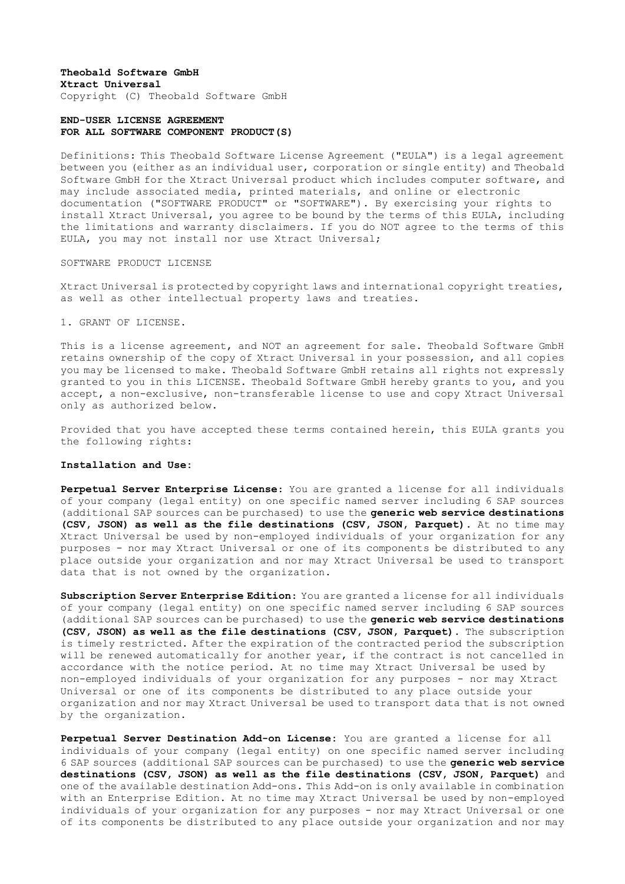# **Theobald Software GmbH Xtract Universal** Copyright (C) Theobald Software GmbH

# **END-USER LICENSE AGREEMENT FOR ALL SOFTWARE COMPONENT PRODUCT(S)**

Definitions: This Theobald Software License Agreement ("EULA") is a legal agreement between you (either as an individual user, corporation or single entity) and Theobald Software GmbH for the Xtract Universal product which includes computer software, and may include associated media, printed materials, and online or electronic documentation ("SOFTWARE PRODUCT" or "SOFTWARE"). By exercising your rights to install Xtract Universal, you agree to be bound by the terms of this EULA, including the limitations and warranty disclaimers. If you do NOT agree to the terms of this EULA, you may not install nor use Xtract Universal;

SOFTWARE PRODUCT LICENSE

Xtract Universal is protected by copyright laws and international copyright treaties, as well as other intellectual property laws and treaties.

1. GRANT OF LICENSE.

This is a license agreement, and NOT an agreement for sale. Theobald Software GmbH retains ownership of the copy of Xtract Universal in your possession, and all copies you may be licensed to make. Theobald Software GmbH retains all rights not expressly granted to you in this LICENSE. Theobald Software GmbH hereby grants to you, and you accept, a non-exclusive, non-transferable license to use and copy Xtract Universal only as authorized below.

Provided that you have accepted these terms contained herein, this EULA grants you the following rights:

# **Installation and Use:**

**Perpetual Server Enterprise License**: You are granted a license for all individuals of your company (legal entity) on one specific named server including 6 SAP sources (additional SAP sources can be purchased) to use the **generic web service destinations (CSV, JSON) as well as the file destinations (CSV, JSON, Parquet).** At no time may Xtract Universal be used by non-employed individuals of your organization for any purposes - nor may Xtract Universal or one of its components be distributed to any place outside your organization and nor may Xtract Universal be used to transport data that is not owned by the organization.

**Subscription Server Enterprise Edition**: You are granted a license for all individuals of your company (legal entity) on one specific named server including 6 SAP sources (additional SAP sources can be purchased) to use the **generic web service destinations (CSV, JSON) as well as the file destinations (CSV, JSON, Parquet).** The subscription is timely restricted. After the expiration of the contracted period the subscription will be renewed automatically for another year, if the contract is not cancelled in accordance with the notice period. At no time may Xtract Universal be used by non-employed individuals of your organization for any purposes - nor may Xtract Universal or one of its components be distributed to any place outside your organization and nor may Xtract Universal be used to transport data that is not owned by the organization.

**Perpetual Server Destination Add-on License:** You are granted a license for all individuals of your company (legal entity) on one specific named server including 6 SAP sources (additional SAP sources can be purchased) to use the **generic web service destinations (CSV, JSON) as well as the file destinations (CSV, JSON, Parquet)** and one of the available destination Add-ons. This Add-on is only available in combination with an Enterprise Edition. At no time may Xtract Universal be used by non-employed individuals of your organization for any purposes - nor may Xtract Universal or one of its components be distributed to any place outside your organization and nor may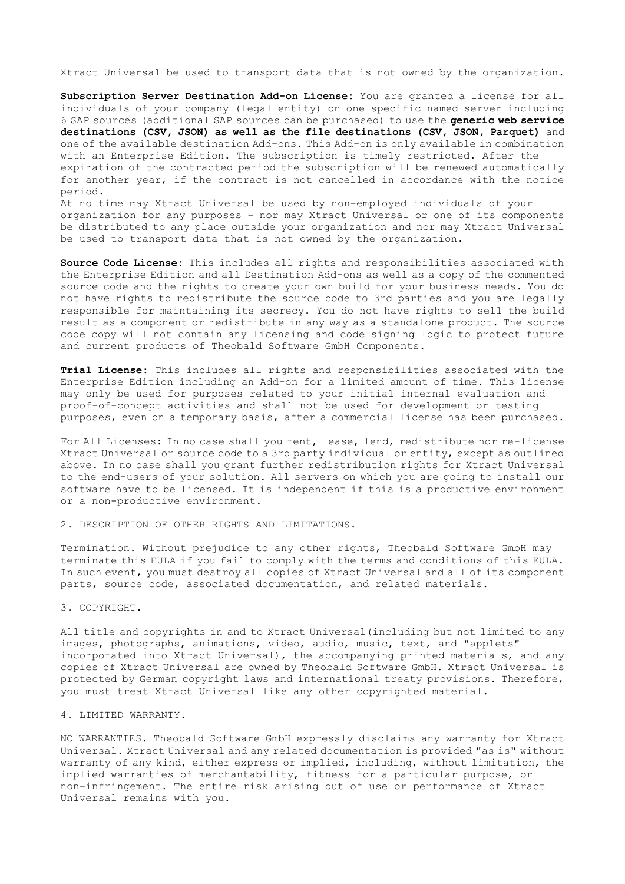Xtract Universal be used to transport data that is not owned by the organization.

**Subscription Server Destination Add-on License:** You are granted a license for all individuals of your company (legal entity) on one specific named server including 6 SAP sources (additional SAP sources can be purchased) to use the **generic web service destinations (CSV, JSON) as well as the file destinations (CSV, JSON, Parquet)** and one of the available destination Add-ons. This Add-on is only available in combination with an Enterprise Edition. The subscription is timely restricted. After the expiration of the contracted period the subscription will be renewed automatically for another year, if the contract is not cancelled in accordance with the notice period.

At no time may Xtract Universal be used by non-employed individuals of your organization for any purposes - nor may Xtract Universal or one of its components be distributed to any place outside your organization and nor may Xtract Universal be used to transport data that is not owned by the organization.

**Source Code License:** This includes all rights and responsibilities associated with the Enterprise Edition and all Destination Add-ons as well as a copy of the commented source code and the rights to create your own build for your business needs. You do not have rights to redistribute the source code to 3rd parties and you are legally responsible for maintaining its secrecy. You do not have rights to sell the build result as a component or redistribute in any way as a standalone product. The source code copy will not contain any licensing and code signing logic to protect future and current products of Theobald Software GmbH Components.

**Trial License:** This includes all rights and responsibilities associated with the Enterprise Edition including an Add-on for a limited amount of time. This license may only be used for purposes related to your initial internal evaluation and proof-of-concept activities and shall not be used for development or testing purposes, even on a temporary basis, after a commercial license has been purchased.

For All Licenses: In no case shall you rent, lease, lend, redistribute nor re-license Xtract Universal or source code to a 3rd party individual or entity, except as outlined above. In no case shall you grant further redistribution rights for Xtract Universal to the end-users of your solution. All servers on which you are going to install our software have to be licensed. It is independent if this is a productive environment or a non-productive environment.

2. DESCRIPTION OF OTHER RIGHTS AND LIMITATIONS.

Termination. Without prejudice to any other rights, Theobald Software GmbH may terminate this EULA if you fail to comply with the terms and conditions of this EULA. In such event, you must destroy all copies of Xtract Universal and all of its component parts, source code, associated documentation, and related materials.

3. COPYRIGHT.

All title and copyrights in and to Xtract Universal(including but not limited to any images, photographs, animations, video, audio, music, text, and "applets" incorporated into Xtract Universal), the accompanying printed materials, and any copies of Xtract Universal are owned by Theobald Software GmbH. Xtract Universal is protected by German copyright laws and international treaty provisions. Therefore, you must treat Xtract Universal like any other copyrighted material.

#### 4. LIMITED WARRANTY.

NO WARRANTIES. Theobald Software GmbH expressly disclaims any warranty for Xtract Universal. Xtract Universal and any related documentation is provided "as is" without warranty of any kind, either express or implied, including, without limitation, the implied warranties of merchantability, fitness for a particular purpose, or non-infringement. The entire risk arising out of use or performance of Xtract Universal remains with you.